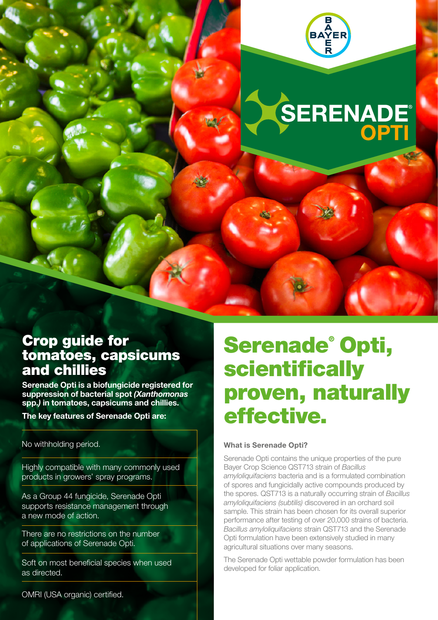

# **SERENADE**

### Crop guide for tomatoes, capsicums and chillies

Serenade Opti is a biofungicide registered for suppression of bacterial spot *(Xanthomonas*  spp.*)* in tomatoes, capsicums and chillies.

The key features of Serenade Opti are:

No withholding period.

Highly compatible with many commonly used products in growers' spray programs.

As a Group 44 fungicide, Serenade Opti supports resistance management through a new mode of action.

There are no restrictions on the number of applications of Serenade Opti.

Soft on most beneficial species when used as directed.

OMRI (USA organic) certified.

## Serenade® Opti, scientifically proven, naturally effective.

#### What is Serenade Opti?

Serenade Opti contains the unique properties of the pure Bayer Crop Science QST713 strain of *Bacillus amyloliquifaciens* bacteria and is a formulated combination of spores and fungicidally active compounds produced by the spores. QST713 is a naturally occurring strain of *Bacillus amyloliquifaciens (subtilis)* discovered in an orchard soil sample. This strain has been chosen for its overall superior performance after testing of over 20,000 strains of bacteria. *Bacillus amyloliquifaciens* strain QST713 and the Serenade Opti formulation have been extensively studied in many agricultural situations over many seasons.

The Serenade Opti wettable powder formulation has been developed for foliar application.